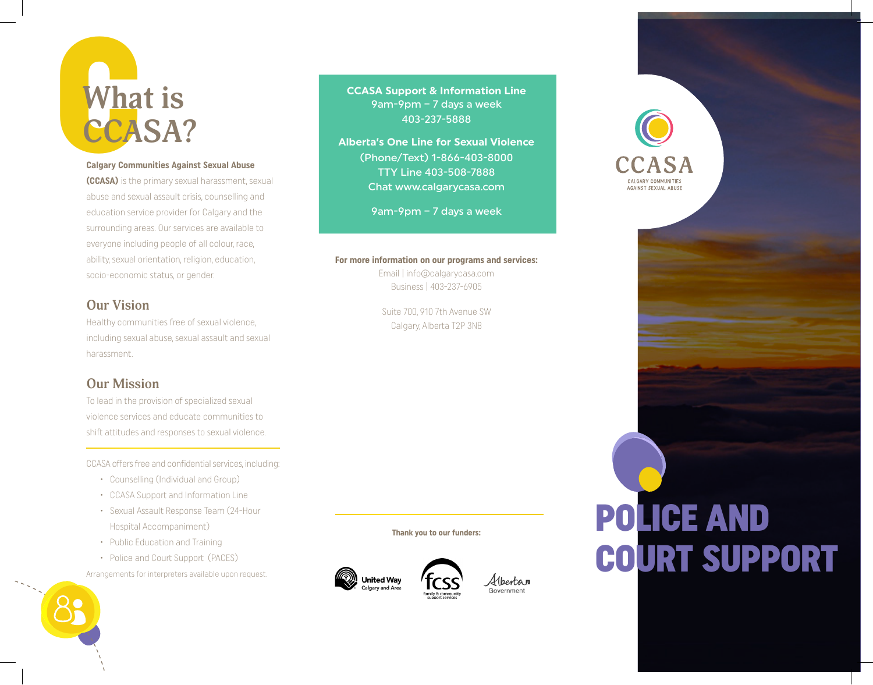## Wha **What is CCASA?**

#### **Calgary Communities Against Sexual Abuse**

**(CCASA)** is the primary sexual harassment, sexual abuse and sexual assault crisis, counselling and education service provider for Calgary and the surrounding areas. Our services are available to everyone including people of all colour, race, ability, sexual orientation, religion, education, socio-economic status, or gender.

### **Our Vision**

Healthy communities free of sexual violence, including sexual abuse, sexual assault and sexual harassment.

### **Our Mission**

To lead in the provision of specialized sexual violence services and educate communities to shift attitudes and responses to sexual violence.

CCASA offers free and confidential services, including:

- • Counselling (Individual and Group)
- • CCASA Support and Information Line
- • Sexual Assault Response Team (24-Hour Hospital Accompaniment)
- Public Education and Training
- Police and Court Support (PACES)

Arrangements for interpreters available upon request.



**CCASA Support & Information Line**  9am-9pm – 7 days a week 403-237-5888

**Alberta's One Line for Sexual Violence**  (Phone/Text) 1-866-403-8000 TTY Line 403-508-7888 Chat www.calgarycasa.com

9am-9pm – 7 days a week

### **For more information on our programs and services:**

Email | info@calgarycasa.com Business | 403-237-6905

Suite 700, 910 7th Avenue SW Calgary, Alberta T2P 3N8

**Thank you to our funders:**



Albertan Government

### POLICE AND COURT SUPPORT

AGAINST SEXUAL ABUSE